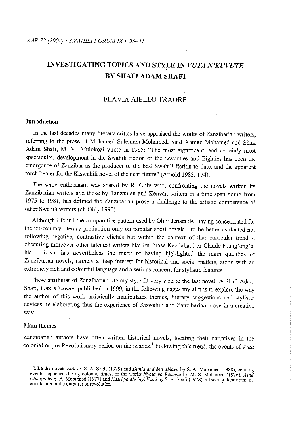# **INVESTIGATING TOPICS AND STYLE IN** *VUTA N'KUVUTE*  **BY SHAFI ADAM SHAFI**

## FLA VIA AIELLO TRAORE

#### **Introduction**

In the last decades many literary critics have appraised the works of Zanzibarian writers; referring to the prose of Mohamed Suleiman Mohamed, Said Ahmed Mohamed and Shafi Adam Shafi, M M. Mulokozi wrote in 1985: "The most significant, and certainly most spectacular, development in the Swahili fiction of the Seventies and Eighties has been the emergence of Zanzibar as the producer of the best Swahili fiction to date, and the apparent torch bearer for the Kiswahili novel of the near future" (Amold 1985: 174}

The same enthusiasm was shared by R. Ohly who, confronting the novels written by Zanzibarian writers and those by I anzanian and Kenyan writers in a time span going fiom 1975 to 1981, has defined the Zanzibarian prose a challenge to the artistic competence of other Swahili writers (cf. Ohly 1990).

Although I found the comparative pattern used by Ohly debatable, having concentrated for the up-country literary production only on popular short novels - to be better evaluated not following negative, contrastive clichés but within the context of that particular trend -, obscuring moreover other talented writers like Euphrase Kezilahabi or Claude Mung'ong'o, his criticism has nevertheless the merit of having highlighted the main qualities of Zanzibarian novels, namely a deep interest for historical and social matters, along with an extremely rich and colourful language and a serious concern for stylistic features.

These attributes of Zanzibarian literary style fit very well to the last novel by Shafi Adam Shafi, *Vuta n'kuvute*, published in 1999; in the following pages my aim is to explore the way the author of this work artistically manipulates themes, literary suggestions and stylistic devices, re-elaborating thus the experience of Kiswahili and Zanzibarian prose in a creative way.

#### **Main themes**

Zanzibarian authors have often written historical novels, locating their narratives in the colonial or pre-Revolutionary period on the islands.<sup>1</sup> Following this trend, the events of *Vuta* 

<sup>&</sup>lt;sup>1</sup> Like the novels *Kuli* by S. A. Shafi (1979) and *Dunia and Mti Mkavu* by S. A. Mohamed (1980), echoing events happened during colonial times, or the works *Nyota ya Rehema* by M. S. Mohamed (1976), Asali<br>Chungu by S. A. Mohamed (1977) and Kasri ya Mwinyi Fuad by S. A. Shafi (1978), all seeing their dramatic<br>conclusion in th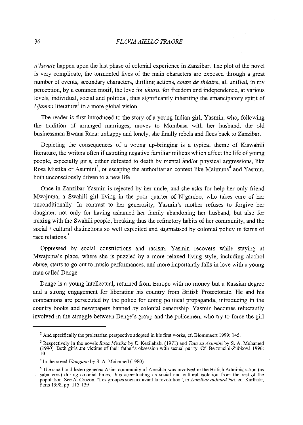### 36 *FLAVIA AIELLO TRAORE*

*n'kuvute* happen upon the last phase of colonial experience in Zanzibar. The plot of the novel is very complicate, the tormented lives of the main characters are exposed through a great number of events, secondary characters, thrilling actions, *coups de theatre,* all unified, in my perception, by a common motif, the love for *uhuru*, for freedom and independence, at various levels, individual, social and political, thus significantly inheriting the emancipatory spirit of  $$ 

The reader is first introduced to the story of a young Indian girl, Yasmin, who, following the tradition of arranged marriages, moves to Mombasa with her husband, the old businessman Bwana Raza: unhappy and lonely, she finally rebels and flees back to Zanzibar..

Depicting the consequences of a wrong up-bringing is a typical theme of Kiswahili literature, the writers often illustrating negative familiar milieus which affect the life of young people, especially girls, either defeated to death by mental and/or physical aggressions, like Rosa Mistika or Asumini<sup>3</sup>, or escaping the authoritarian context like Maimuna<sup>4</sup> and Yasmin, both unconsciously driven to a new life

Once in Zanzibar Yasmin is rejected by her uncle, and she asks for help her only friend Mwajuma, a Swahili girl living in the poor quarter of N' gambo, who takes care of her unconditionally. In contrast to her generosity, Yasmin's mother refuses to forgive her daughter, not only for having ashamed her family abandoning her husband, but also for mixing with the Swahili people, breaking thus the refractory habits of her community, and the social / cultural distinctions so well exploited and stigmatised by colonial policy in terms of race relations.<sup>5</sup>

Oppressed by social constrictions and racism, Y asmin recovers while staying at Mwajuma's place, where she is puzzled by a more relaxed living style, including alcohol abuse, starts to go out to music performances, and more importantly falls in love with a young man called Denge.

Denge is a young intellectual, returned from Europe with no money but a Russian degree and a strong engagement for liberating his country from British Protectorate. He and his companions are persecuted by the police for doing political propaganda, introducing in the country books and newspapers banned by colonial censorship Yasmin becomes reluctantly involved in the struggle between Denge's group and the policemen, who try to force the girl

 $2$  And specifically the proletarian perspective adopted in his first works, cf. Blommaert 1999: 145

<sup>3</sup> Respectively in the novels *Rosa Mistika* by E.. Kezilahabi (1971) and *Tata za Asumini* by S. A. Moharned (1990) Both girls are victims of their father's obsession with sexual purity Cf Bertoncini-Zubkova 1996:  $10<sub>1</sub>$ 

<sup>4</sup> In the novel *Utengano* by S A Moharned (1980)

<sup>&</sup>lt;sup>5</sup> Ihe small and heterogeneous Asian community of Zanzibar was involved in the British Administration (as **subalterns) during colonial times, thus accentuating its social and cultural isolation from the rest of the**  population See A. Crozon, "Les groupes sociaux avant la révolution", in *Zanzibar aujourd'hui*, ed .. Karthala, Paris 1998, pp 113-139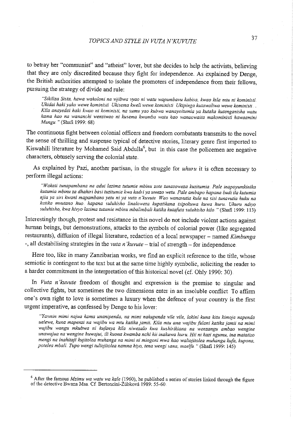to betray her "communist" and "atheist" lover, but she decides to help the activists, believing that they are only discredited because they fight for independence. As explained by Denge, the British authorities attempted to isolate the promoters of independence from their fellows, pursuing the strategy of divide and rule:

*"Sikiliza Sista, hawa wakoloni na vijibwa ryao ni watu wapumbavu kabi,sa, kwao kila mtu ni koministi Ukidai hakiyako wewe koministi Ukisema kweli wewe koministi Ukipinga kutawaliwa wewe koministi Kila anayedai haki kwao ni koministi, na sumu yao kubwa wanayoitumia ya kutaka kutenganisha watu kama hao na wananchi wenziwao ni kusema kwamba watu hao wanaowaita makomini:stl hawaamini Mungu.* "(Shafi 1999: 68)

The continuous fight between colonial officers and freedom combatants transmits to the novel the sense of thrilling and suspense typical of detective stories, literary genre first imported to Kiswahili literature by Mohamed Said Abdulla<sup>6</sup>, but in this case the policemen are negative characters, obtusely serving the colonial state.

As explained by Pazi, another partisan, in the struggle for *uhuru* it is often necessary to perform illegal actions:

*"Wakati tunapambana na adui lazima tutumie mbinu zote tunazoweza kuzitumi'a. Pale inapoyumkinika kutumia mbinu za dhahiri' basi tuzitumie kwa kad1iya uwezo wetu .. Pale ambapo hapana budi ila kutumia njia ya siri kwani mapambano yetu ni ya vuta n 'kuvute Wao wanavutia kule na si:si tunavutia huku na katika mvutano huo hapana suluhisho Unaloweza kupatikana i:sipokuwa kuwa huru.* **Uhwu** *ndiyo suluhi.sho, kwa hivyo lazima tutumie mbinu mbalimbali katika kutafuta suluhi.sho hilo.* "(Shafi 1999: 113)

Interestingly though, protest and resistance in this novel do not include violent actions against human beings, but demonstrations, attacks to the symbols of colonial power (like segregated restaurants), diffusion of illegal literature, redaction of a local newspaper- named *Kimbunga*  -, all destabilising strategies in the *vuta n'kuvute* - trial of strength - for independence.

Here too, like in many Zanzibarian works, we find an explicit reference to the title, whose semiotic is contingent to the text but at the same time highly symbolic, soliciting the reader to a harder commitment in the interpretation of this historical novel (cf. Ohly 1990: 30)

In *Vuta n'kuvute* freedom of thought and expression is the premise to singular and collective fights, but sometimes the two dimensions enter in an insoluble conflict To affirm one's own right to love is sometimes a luxury when the defence of your country is the first urgent imperative, as confessed by Denge to his lover:

*"Yasmin mimi najua kama unanipenda, na mimi nakupenda vile vile, lakini kuna kitu kimoja napenda ue!ewe, kuna mapenzi na wajibu wa m tu katika jamii. Kila m tu ana wajibu fulani katika jamii na mi'mi wajibu wangu mkubwa ni kufanya kif a niwezalo kwa kushi'r ikiana na wenzangu ambao wengine unawajua na wengine* huwajui~ **ili** *kuona kwamba nchi hii inakuwa huru. Hii ni kazi ngumu, ina maiatizo mengi na inahitaji kujitolea muhanga na mimi ni miogoni mwa hao waliojitolea muhanga kufa, kupona, potelea mbali Tupo wengi tuliojito/ea namna hiyo, tena wengi sana, maelfu* " (Shafi 1999: 145)

<sup>&</sup>lt;sup>6</sup> After the famous *Mzimu wa watu wa kale* (1960), he published a series of stories linked through the figure of the detective Bwana Msa. Cf Bertoncini-Zubkova 1989: 55-60.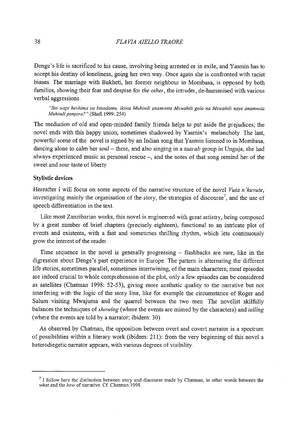Denge's life is sacrificed to his cause, involving being arrested or in exile, and Y asmin has to accept his destiny of loneliness, going her own way. Once again she is confronted with racist biases.. The maniage with Bukheti, her former neighbour in Mombasa, is opposed by both families, showing their fear and despise for *the other,* the intruder, de-humanised with various verbal aggressions.

*"Iko wapi heshima ya binadamu, ikiwa Muhindi anamwita Mswahili golo na Mswahili naye anamwita Muhindi ponjoro?"* (Shafi 1999: 254)

The mediation of old and open-minded family friends helps to put aside the prejudices; the novel ends with this happy union, sometimes shadowed by Yasmin's melancholy. The last, powerful scene of the novel is signed by an Indian song that Yasmin listened to in Mombasa, dancing alone to calm her soul - there, and also singing in a *taarab* group in Unguja, she had always experienced music as personal rescue -, and the notes of that song remind her of the sweet and sour taste of liberty

#### **Stylistic devices**

Hereafter I will focus on some aspects of the narrative structure of the novel *Vuta n'kuvute*, investigating mainly the organisation of the story, the strategies of discourse', and the use of speech differentiation in the text

Like most Zanzibarian works, this novel is engineered with great artistry, being composed by a great number of brief chapters (precisely eighteen), functional to an intricate plot of events and existents, with a fast and sometimes thrilling rhythm, which lets continuously grow the interest of the reader.

Time sequence in the novel is generally progressing  $-$  flashbacks are rare, like in the digression about Denge's past experience in Europe. The pattern is alternating the different life stories, sometimes parallel, sometimes intertwining, of the main characters; most episodes are indeed cmcial to whole comprehension of the plot, only a few episodes can be considered as satellites (Chatrnan 1998: 52-53), giving more aesthetic quality to the narrative but not interfering with the logic of the story line, like for example the circumstance of Roger and Salum visiting Mwajuma and the quarrel between the two men.. The novelist skilfully balances the techniques of *showing* (where the events are mimed by the characters) and *telling*  (where the events are told by a narrator; ibidem: 30).

As observed by Chatman, the opposition between overt and covert narrator is a spectrum of possibilities within a literary work (ibidem: 211): from the very beginning of this novel a heterodiegetic narrator appears, with various degrees of visibility.

<sup>&</sup>lt;sup>7</sup> I follow here the distinction between story and discourse made by Chatman, in other words between the what and the how of narrative. Cf Chatman 1998.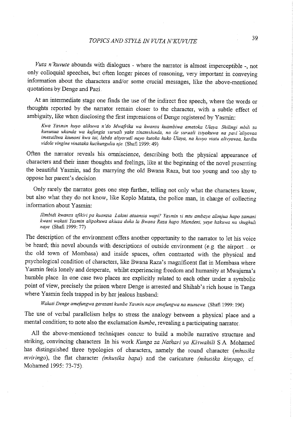*V uta n 'kuvute* abounds with dialogues - where the narrator is almost imperceptible -, not only colloquial speeches, but often longer pieces of reasoning, very important in conveying information about the characters and/or some crucial messages, like the above-mentioned quotations by Denge and Pazi.

At an intermediate stage one finds the use of the indirect free speech, where the words or thoughts reported by the narrator remain closer to the character, with a subtle effect of ambiguity, like when disclosing the first impressions of Denge registered by Yasmin:

*Kwa Yasmin huyo alikuwa n 'do Mwaftika wa kwanza kuambiwa ametoka Ulaya Shilingi mbili za kununua ukanda wa kufungia suruali yake zinamshinda, na ile suruaU i,siyokuwa na pasi "aliyovaa imezuiliwa kiunoni kwa* tai~ *labda aliyorudi nayo kutoka huko Ulaya, na hivyo viatu alivyovaa, karibu vido/e vingine vinataka kuchungulia nje.* (Shafi 1999: 49)

Often the narrator reveals his omniscience, describing both the physical appearance of characters and their inner thoughts and feelings, like at the beginning of the novel presenting the beautiful Y asmin, sad for marrying the old Bwana Raza, but too young and too shy to oppose her parent's decision

Only rarely the narrator goes one step further, telling not only what the characters know, but also what they do not know, like Koplo Matata, the police man, in charge of collecting information about Y asmin:

*Ilimbidi kwanza afikiri pa kuanzia Lakini ataanzia wapi? Yasmin si mtu ambaye alimjua hapo zamani kwani wakati Yasrnin alipokuwa akiuza duka la Bwana Raza hapo Mtendeni, yeye hakuwa na shughu/z naye* (Shafi 1999: 77)

The description of the enviromnent offers another opportunity to the narrator to let his voice be heard; this novel abounds with descriptions of outside environment (e.g. the airport ... or the old town of Mombasa) and inside spaces, often contrasted with the physical and psychological condition of characters, like Bwana Raza's magnificent flat in Mombasa where Yasmin feels lonely and desperate, whilst experiencing freedom and humanity at Mwajuma's humble place. In one case two places are explicitly related to each other under a symbolic point of view, precisely the prison where Denge is arrested and Shihab's rich house in Tanga where Yasmin feels trapped in by her jealous husband:

*Wakati Denge amefungwa gerezani kumbe Yasmin naye amefungwa na rnurnewe.* (Shafi 1999: 196)

The use of verbal parallelism helps to stress the analogy between a physical place and a mental condition; to note also the exclamation *kumbe,* revealing a participating narrator ..

All the above-mentioned techniques concur to build a mobile narrative structure and striking, convincing characters In his work *Kunga za Nathari ya Kiswahili* S.A Mohamed has distinguished three typologies of characters, namely the round character *(mhusika mviringo),* the flat character *(mhusika bapa)* and the caricature *(mhusika kinyago,* cf Mohamed 1995: 73-75)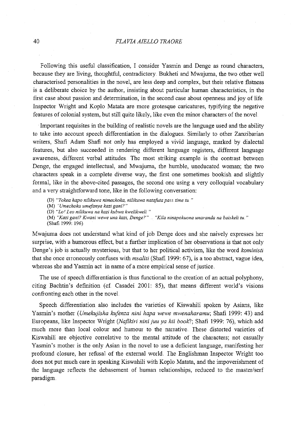#### 40 *FLAVIAAIELLO TRAORE*

Following this useful classification, I consider Yasmin and Denge as round characters, because they are living, thoughtful, contradictory. Bukheti and Mwajuma, the two other well characterised personalities in the novel, are less deep and complex, but their relative flatness is a deliberate choice by the author, insisting about particular human characteristics, in the first case about passion and determination, in the second case about openness and joy of life Inspector Wright and Koplo Matata are more grotesque caricatures, typifying the negative features of colonial system, but still quite likely, like even the minor characters of the novel

Important requisites in the building of realistic novels are the language used and the ability to take into account speech differentiation in the dialogues. Similarly to other Zanzibarian writers, Shafi Adam Shafi not only has employed a vivid language, marked by dialectal features, but also succeeded in rendering different language registers, different language awareness, different verbal attitudes. The most striking example is the contrast between Denge, the engaged intellectual, and Mwajuma, the humble, uneducated woman; the two characters speak in a complete diverse way, the first one sometimes bookish and slightly formal, like in the above-cited passages, the second one using a very colloquial vocabulary and a very straightforward tone, like in the following conversation:

(D) *"Tokea hapo nilikuwa nimechoka, nilikuwa natafota pass time tu."* 

(M) *'Umechoka umefanya kazi gani?"* 

(D) *"Lo' Leo nilikuwa na kazi kubwa kwelikweli* "

**(M)** *"Kazi gani'? Kwani wewe una kazi, Denge?" "Kila ninapokuona unaranda na bai.skeli tu .. "*  (Shafi 1999: 196)

Mwajuma does not understand what kind of job Denge does and she naively expresses her surprise, with a humorous effect, but a further implication of her observations is that not only Denge's job is actually mysterious, but that to her political activism, like the word *koministi*  that she once erroneously confuses with *msaliti* (Shafi 1999: 67), is a too abstract, vague idea, whereas she and Yasmin act in name of a more empirical sense of justice.

The use of speech differentiation is thus functional to the creation of an actual polyphony, citing Bachtin's definition (cf. Casadei 2001: 85), that means different world's visions confronting each other in the novel.

Speech differentiation also includes the varieties of Kiswahili spoken by Asians, like Yasmin's mother *(Umekujisha kufenza nini hapa wewe mwenaharamu;* Shafi 1999: 43) and Europeans, like Inspector Wright *(Nafikiri nini juu ya hii book?;* Shafi 1999: 76), which add much more than local colour and humour to the narrative.. These distorted varieties of Kiswahili are objective correlative to the mental attitude of the characters; not casually Yasmin's mother is the only Asian in the novel to use a deficient language, manifesting her profound closure, her refusal of the external world. The Englishman Inspector Wright too does not put much care in speaking Kiswahili with Koplo Matata, and the impoverishment of the language reflects the debasement of human relationships, reduced to the master/serf paradigm.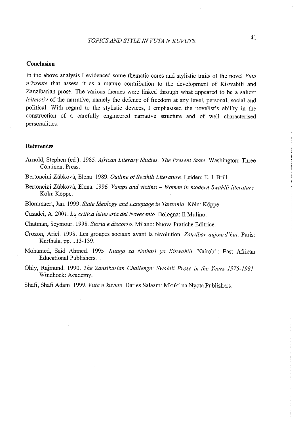# *TOPICS AND STYLE IN VUTA N'KUVUTE* <sup>41</sup>

### **Conclusion**

In the above analysis I evidenced some thematic cores and stylistic traits of the novel *Vuta <sup>n</sup>'kuvute* that assess it as a mature contribution to the development of Kiswahili and Zanzibarian prose. The various themes were linked through what appeared to be a salient *leitmotiv* of the narrative, namely the defence of fieedom at any level, personal, social and politicaL With regard to the stylistic devices, I emphasised the novelist's ability in the construction of a carefully engineered narrative structure and of well characterised personalities

#### **References**

- Arnold, Stephen (ed.). 1985. *African Literary Studies. The Present State* Washington: Three Continent Press.
- Bertoncini-Zúbková, Elena 1989. Outline of Swahili Literature. Leiden: E. J. Brill.
- Bertoncini-Zubkova, Elena 1996 *Vamps and victims- Women in modern Swahili literature*  Köln: Köppe.
- Blommaert, Jan. 1999. *State Ideology and Language in Tanzania*. Köln: Köppe.

Casadei, A. 2001. La critica letteraria del Novecento Bologna: Il Mulino.

Chatman, Seymour 1998. Storia e discorso. Milano: Nuova Pratiche Editrice.

- Crozon, Ariel 1998. Les groupes sociaux avant la révolution *Zanzibar aujourd'hui*. Paris: Karthala, pp. 113-139.
- Mohamed, Said Ahmed .. 1995 *Kunga za Nathari ya Kiswahili ..* Nairobi: East Afiican Educational Publishers
- Ohly, Rajmund. 1990. *The Zanzibarian Challenge Swahili Prose in the Years 1975-1981*  Windhoek: Academy.

Shafi, Shafi Adam. 1999. *Vuta n'kuvute* Dar es Salaam: Mkuki na Nyota Publishers.